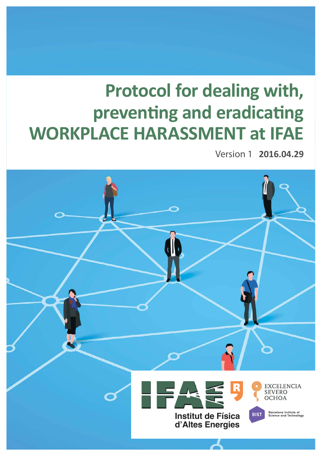# **Protocol for dealing with,** preventing and eradicating WORKPLACE HARASSMENT at IFAE

**Version 1 2016.04.29** 

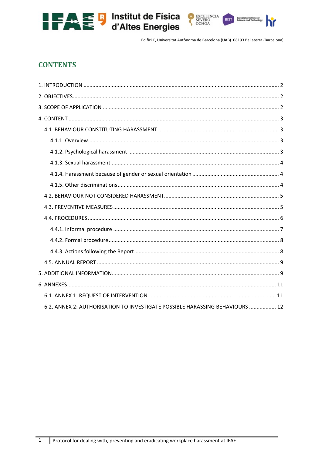



# **CONTENTS**

| 6.2. ANNEX 2: AUTHORISATION TO INVESTIGATE POSSIBLE HARASSING BEHAVIOURS  12 |  |
|------------------------------------------------------------------------------|--|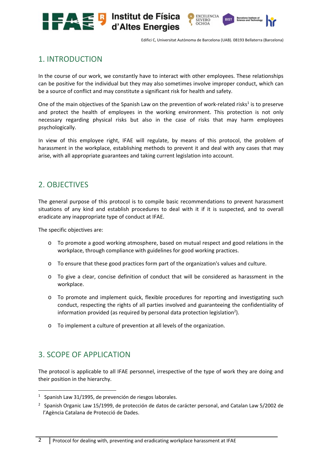

EXCELENCIA<br>SEVERO<br>OCHOA

# 1. INTRODUCTION

In the course of our work, we constantly have to interact with other employees. These relationships can be positive for the individual but they may also sometimes involve improper conduct, which can be a source of conflict and may constitute a significant risk for health and safety.

One of the main objectives of the Spanish Law on the prevention of work-related risks<sup>1</sup> is to preserve and protect the health of employees in the working environment. This protection is not only necessary regarding physical risks but also in the case of risks that may harm employees psychologically.

In view of this employee right, IFAE will regulate, by means of this protocol, the problem of harassment in the workplace, establishing methods to prevent it and deal with any cases that may arise, with all appropriate guarantees and taking current legislation into account.

# 2. OBJECTIVES

The general purpose of this protocol is to compile basic recommendations to prevent harassment situations of any kind and establish procedures to deal with it if it is suspected, and to overall eradicate any inappropriate type of conduct at IFAE.

The specific objectives are:

- o To promote a good working atmosphere, based on mutual respect and good relations in the workplace, through compliance with guidelines for good working practices.
- o To ensure that these good practices form part of the organization's values and culture.
- $\circ$  To give a clear, concise definition of conduct that will be considered as harassment in the workplace.
- o To promote and implement quick, flexible procedures for reporting and investigating such conduct, respecting the rights of all parties involved and guaranteeing the confidentiality of information provided (as required by personal data protection legislation<sup>2</sup>).
- o To implement a culture of prevention at all levels of the organization.

# 3. SCOPE OF APPLICATION

The protocol is applicable to all IFAE personnel, irrespective of the type of work they are doing and their position in the hierarchy.

 $1$  Spanish Law 31/1995, de prevención de riesgos laborales.

<sup>2</sup> Spanish Organic Law 15/1999, de protección de datos de carácter personal, and Catalan Law 5/2002 de l'Agència Catalana de Protecció de Dades.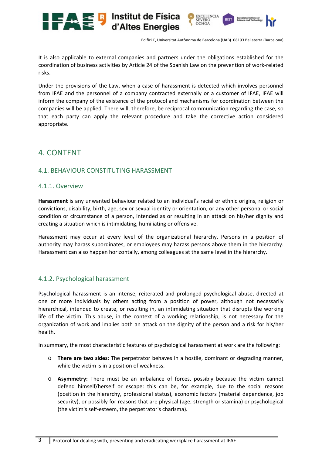

It is also applicable to external companies and partners under the obligations established for the coordination of business activities by Article 24 of the Spanish Law on the prevention of work‐related risks.

Under the provisions of the Law, when a case of harassment is detected which involves personnel from IFAE and the personnel of a company contracted externally or a customer of IFAE, IFAE will inform the company of the existence of the protocol and mechanisms for coordination between the companies will be applied. There will, therefore, be reciprocal communication regarding the case, so that each party can apply the relevant procedure and take the corrective action considered appropriate.

# 4. CONTENT

# 4.1. BEHAVIOUR CONSTITUTING HARASSMENT

#### 4.1.1. Overview

**Harassment** is any unwanted behaviour related to an individual's racial or ethnic origins, religion or convictions, disability, birth, age, sex or sexual identity or orientation, or any other personal or social condition or circumstance of a person, intended as or resulting in an attack on his/her dignity and creating a situation which is intimidating, humiliating or offensive.

Harassment may occur at every level of the organizational hierarchy. Persons in a position of authority may harass subordinates, or employees may harass persons above them in the hierarchy. Harassment can also happen horizontally, among colleagues at the same level in the hierarchy.

# 4.1.2. Psychological harassment

Psychological harassment is an intense, reiterated and prolonged psychological abuse, directed at one or more individuals by others acting from a position of power, although not necessarily hierarchical, intended to create, or resulting in, an intimidating situation that disrupts the working life of the victim. This abuse, in the context of a working relationship, is not necessary for the organization of work and implies both an attack on the dignity of the person and a risk for his/her health.

In summary, the most characteristic features of psychological harassment at work are the following:

- o **There are two sides**: The perpetrator behaves in a hostile, dominant or degrading manner, while the victim is in a position of weakness.
- o **Asymmetry:**  There must be an imbalance of forces, possibly because the victim cannot defend himself/herself or escape: this can be, for example, due to the social reasons (position in the hierarchy, professional status), economic factors (material dependence, job security), or possibly for reasons that are physical (age, strength or stamina) or psychological (the victim's self‐esteem, the perpetrator's charisma).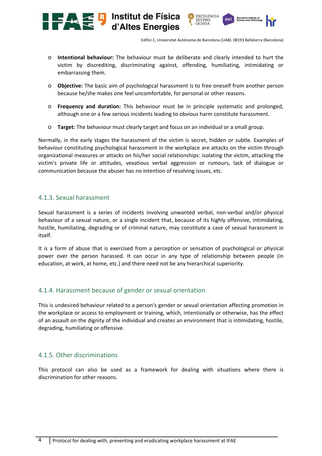**EXCELENCIA** 

SEVERO<br>OCHOA

o **Intentional behaviour:**  The behaviour must be deliberate and clearly intended to hurt the victim by discrediting, discriminating against, offending, humiliating, intimidating or embarrassing them.

Institut de Física

d'Altes Energies

- o **Objective:** The basic aim of psychological harassment is to free oneself from another person because he/she makes one feel uncomfortable, for personal or other reasons.
- o **Frequency and duration:**  This behaviour must be in principle systematic and prolonged, although one or a few serious incidents leading to obvious harm constitute harassment.
- o **Target:** The behaviour must clearly target and focus on an individual or a small group.

Normally, in the early stages the harassment of the victim is secret, hidden or subtle. Examples of behaviour constituting psychological harassment in the workplace are attacks on the victim through organizational measures or attacks on his/her social relationships: isolating the victim, attacking the victim's private life or attitudes, vexatious verbal aggression or rumours, lack of dialogue or communication because the abuser has no intention of resolving issues, etc.

#### 4.1.3. Sexual harassment

**ASH** 

Sexual harassment is a series of incidents involving unwanted verbal, non‐verbal and/or physical behaviour of a sexual nature, or a single incident that, because of its highly offensive, intimidating, hostile, humiliating, degrading or of criminal nature, may constitute a case of sexual harassment in itself.

It is a form of abuse that is exercised from a perception or sensation of psychological or physical power over the person harassed. It can occur in any type of relationship between people (in education, at work, at home, etc.) and there need not be any hierarchical superiority.

# 4.1.4. Harassment because of gender or sexual orientation

This is undesired behaviour related to a person's gender or sexual orientation affecting promotion in the workplace or access to employment or training, which, intentionally or otherwise, has the effect of an assault on the dignity of the individual and creates an environment that is intimidating, hostile, degrading, humiliating or offensive.

# 4.1.5. Other discriminations

This protocol can also be used as a framework for dealing with situations where there is discrimination for other reasons.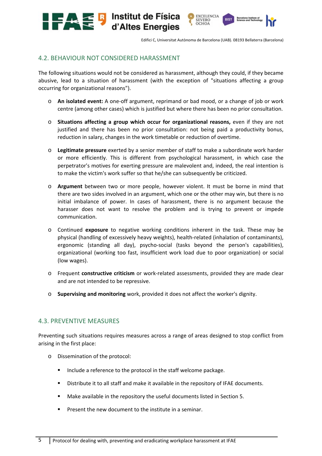

EXCELENCIA<br>SEVERO<br>OCHOA

**RIST** 

# 4.2. BEHAVIOUR NOT CONSIDERED HARASSMENT

**ALCE D** Institut de Física

The following situations would not be considered as harassment, although they could, if they became abusive, lead to a situation of harassment (with the exception of "situations affecting a group occurring for organizational reasons").

- o **An isolated event:** A one‐off argument, reprimand or bad mood, or a change of job or work centre (among other cases) which is justified but where there has been no prior consultation.
- o **Situations affecting a group which occur for organizational reasons,**  even if they are not justified and there has been no prior consultation: not being paid a productivity bonus, reduction in salary, changes in the work timetable or reduction of overtime.
- o **Legitimate pressure** exerted by a senior member of staff to make a subordinate work harder or more efficiently. This is different from psychological harassment, in which case the perpetrator's motives for exerting pressure are malevolent and, indeed, the real intention is to make the victim's work suffer so that he/she can subsequently be criticized.
- o **Argument**  between two or more people, however violent. It must be borne in mind that there are two sides involved in an argument, which one or the other may win, but there is no initial imbalance of power. In cases of harassment, there is no argument because the harasser does not want to resolve the problem and is trying to prevent or impede communication.
- o Continued **exposure**  to negative working conditions inherent in the task. These may be physical (handling of excessively heavy weights), health‐related (inhalation of contaminants), ergonomic (standing all day), psycho-social (tasks beyond the person's capabilities), organizational (working too fast, insufficient work load due to poor organization) or social (low wages).
- o Frequent **constructive criticism** or work‐related assessments, provided they are made clear and are not intended to be repressive.
- o **Supervising and monitoring** work, provided it does not affect the worker's dignity.

# 4.3. PREVENTIVE MEASURES

Preventing such situations requires measures across a range of areas designed to stop conflict from arising in the first place:

- o Dissemination of the protocol:
	- Include a reference to the protocol in the staff welcome package.
	- Distribute it to all staff and make it available in the repository of IFAE documents.
	- Make available in the repository the useful documents listed in Section 5.
	- Present the new document to the institute in a seminar.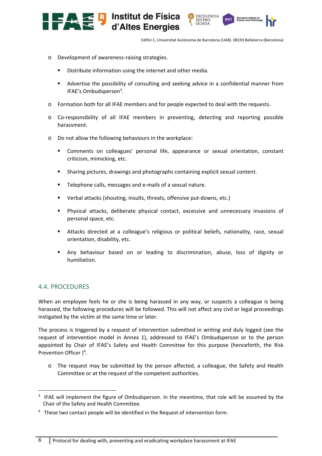

EXCELENCIA<br>SEVERO<br>OCHOA

**RIST** 

- o Development of awareness‐raising strategies.
	- Distribute information using the internet and other media.
	- Advertise the possibility of consulting and seeking advice in a confidential manner from IFAE's Ombudsperson<sup>3</sup>.
- o Formation both for all IFAE members and for people expected to deal with the requests.
- o Co-responsibility of all IFAE members in preventing, detecting and reporting possible harassment.
- o Do not allow the following behaviours in the workplace:
	- Comments on colleagues' personal life, appearance or sexual orientation, constant criticism, mimicking, etc.
	- Sharing pictures, drawings and photographs containing explicit sexual content.
	- Telephone calls, messages and e-mails of a sexual nature.
	- Verbal attacks (shouting, insults, threats, offensive put-downs, etc.)
	- Physical attacks, deliberate physical contact, excessive and unnecessary invasions of personal space, etc.
	- Attacks directed at a colleague's religious or political beliefs, nationality, race, sexual orientation, disability, etc.
	- Any behaviour based on or leading to discrimination, abuse, loss of dignity or humiliation.

#### 4.4. PROCEDURES

When an employee feels he or she is being harassed in any way, or suspects a colleague is being harassed, the following procedures will be followed. This will not affect any civil or legal proceedings instigated by the victim at the same time or later.

The process is triggered by a request of intervention submitted in writing and duly logged (see the request of intervention model in Annex 1), addressed to IFAE's Ombudsperson or to the person appointed by Chair of IFAE's Safety and Health Committee for this purpose (henceforth, the Risk Prevention Officer  $)^4$ .

 $\circ$  The request may be submitted by the person affected, a colleague, the Safety and Health Committee or at the request of the competent authorities.

 $3$  IFAE will implement the figure of Ombudsperson. In the meantime, that role will be assumed by the Chair of the Safety and Health Committee.

<sup>&</sup>lt;sup>4</sup> These two contact people will be identified in the Request of intervention form.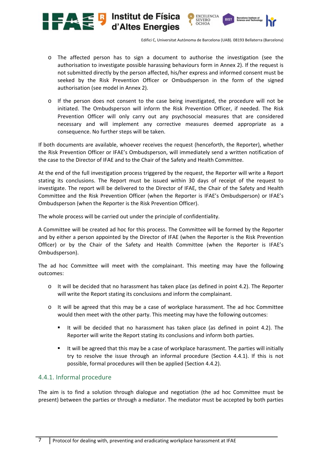

EXCELENCIA<br>SEVERO<br>OCHOA

- o The affected person has to sign a document to authorise the investigation (see the authorisation to investigate possible harassing behaviours form in Annex 2). If the request is not submitted directly by the person affected, his/her express and informed consent must be seeked by the Risk Prevention Officer or Ombudsperson in the form of the signed authorisation (see model in Annex 2).
- o If the person does not consent to the case being investigated, the procedure will not be initiated. The Ombudsperson will inform the Risk Prevention Officer, if needed. The Risk Prevention Officer will only carry out any psychosocial measures that are considered necessary and will implement any corrective measures deemed appropriate as a consequence. No further steps will be taken.

If both documents are available, whoever receives the request (henceforth, the Reporter), whether the Risk Prevention Officer or IFAE's Ombudsperson, will immediately send a written notification of the case to the Director of IFAE and to the Chair of the Safety and Health Committee.

At the end of the full investigation process triggered by the request, the Reporter will write a Report stating its conclusions. The Report must be issued within 30 days of receipt of the request to investigate. The report will be delivered to the Director of IFAE, the Chair of the Safety and Health Committee and the Risk Prevention Officer (when the Reporter is IFAE's Ombudsperson) or IFAE's Ombudsperson (when the Reporter is the Risk Prevention Officer).

The whole process will be carried out under the principle of confidentiality.

**ALC B** Institut de Física

A Committee will be created ad hoc for this process. The Committee will be formed by the Reporter and by either a person appointed by the Director of IFAE (when the Reporter is the Risk Prevention Officer) or by the Chair of the Safety and Health Committee (when the Reporter is IFAE's Ombudsperson).

The ad hoc Committee will meet with the complainant. This meeting may have the following outcomes:

- $\circ$  It will be decided that no harassment has taken place (as defined in point 4.2). The Reporter will write the Report stating its conclusions and inform the complainant.
- o It will be agreed that this may be a case of workplace harassment. The ad hoc Committee would then meet with the other party. This meeting may have the following outcomes:
	- It will be decided that no harassment has taken place (as defined in point 4.2). The Reporter will write the Report stating its conclusions and inform both parties.
	- It will be agreed that this may be a case of workplace harassment. The parties will initially try to resolve the issue through an informal procedure (Section 4.4.1). If this is not possible, formal procedures will then be applied (Section 4.4.2).

# 4.4.1. Informal procedure

The aim is to find a solution through dialogue and negotiation (the ad hoc Committee must be present) between the parties or through a mediator. The mediator must be accepted by both parties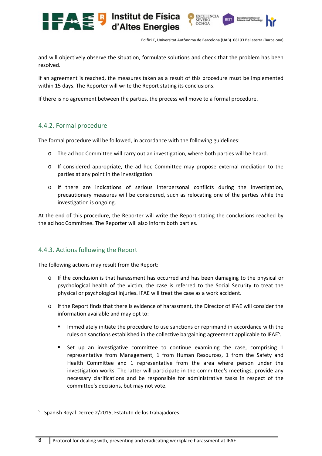

and will objectively observe the situation, formulate solutions and check that the problem has been resolved.

If an agreement is reached, the measures taken as a result of this procedure must be implemented within 15 days. The Reporter will write the Report stating its conclusions.

If there is no agreement between the parties, the process will move to a formal procedure.

# 4.4.2. Formal procedure

The formal procedure will be followed, in accordance with the following guidelines:

- o The ad hoc Committee will carry out an investigation, where both parties will be heard.
- o If considered appropriate, the ad hoc Committee may propose external mediation to the parties at any point in the investigation.
- o If there are indications of serious interpersonal conflicts during the investigation, precautionary measures will be considered, such as relocating one of the parties while the investigation is ongoing.

At the end of this procedure, the Reporter will write the Report stating the conclusions reached by the ad hoc Committee. The Reporter will also inform both parties.

# 4.4.3. Actions following the Report

The following actions may result from the Report:

- o If the conclusion is that harassment has occurred and has been damaging to the physical or psychological health of the victim, the case is referred to the Social Security to treat the physical or psychological injuries. IFAE will treat the case as a work accident.
- o If the Report finds that there is evidence of harassment, the Director of IFAE will consider the information available and may opt to:
	- Immediately initiate the procedure to use sanctions or reprimand in accordance with the rules on sanctions established in the collective bargaining agreement applicable to IFAE<sup>5</sup>.
	- Set up an investigative committee to continue examining the case, comprising 1 representative from Management, 1 from Human Resources, 1 from the Safety and Health Committee and 1 representative from the area where person under the investigation works. The latter will participate in the committee's meetings, provide any necessary clarifications and be responsible for administrative tasks in respect of the committee's decisions, but may not vote.

<sup>5</sup> Spanish Royal Decree 2/2015, Estatuto de los trabajadores.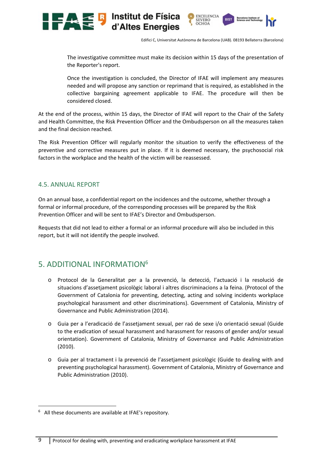

The investigative committee must make its decision within 15 days of the presentation of the Reporter's report.

Once the investigation is concluded, the Director of IFAE will implement any measures needed and will propose any sanction or reprimand that is required, as established in the collective bargaining agreement applicable to IFAE. The procedure will then be considered closed.

At the end of the process, within 15 days, the Director of IFAE will report to the Chair of the Safety and Health Committee, the Risk Prevention Officer and the Ombudsperson on all the measures taken and the final decision reached.

The Risk Prevention Officer will regularly monitor the situation to verify the effectiveness of the preventive and corrective measures put in place. If it is deemed necessary, the psychosocial risk factors in the workplace and the health of the victim will be reassessed.

#### 4.5. ANNUAL REPORT

On an annual base, a confidential report on the incidences and the outcome, whether through a formal or informal procedure, of the corresponding processes will be prepared by the Risk Prevention Officer and will be sent to IFAE's Director and Ombudsperson.

Requests that did not lead to either a formal or an informal procedure will also be included in this report, but it will not identify the people involved.

# 5. ADDITIONAL INFORMATION6

- o Protocol de la Generalitat per a la prevenció, la detecció, l'actuació i la resolució de situacions d'assetjament psicològic laboral i altres discriminacions a la feina. (Protocol of the Government of Catalonia for preventing, detecting, acting and solving incidents workplace psychological harassment and other discriminations). Government of Catalonia, Ministry of Governance and Public Administration (2014).
- o Guia per a l'eradicació de l'assetjament sexual, per raó de sexe i/o orientació sexual (Guide to the eradication of sexual harassment and harassment for reasons of gender and/or sexual orientation). Government of Catalonia, Ministry of Governance and Public Administration (2010).
- o Guia per al tractament i la prevenció de l'assetjament psicològic (Guide to dealing with and preventing psychological harassment). Government of Catalonia, Ministry of Governance and Public Administration (2010).

<sup>6</sup> All these documents are available at IFAE's repository.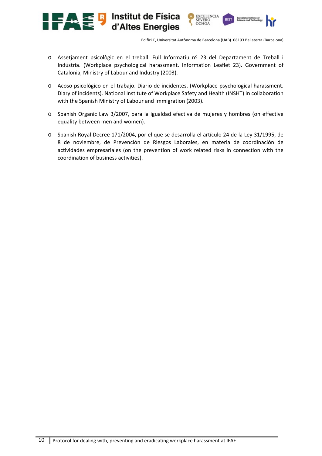

- o Assetjament psicològic en el treball. Full Informatiu nº 23 del Departament de Treball i Indústria. (Workplace psychological harassment. Information Leaflet 23). Government of Catalonia, Ministry of Labour and Industry (2003).
- o Acoso psicológico en el trabajo. Diario de incidentes. (Workplace psychological harassment. Diary of incidents). National Institute of Workplace Safety and Health (INSHT) in collaboration with the Spanish Ministry of Labour and Immigration (2003).
- o Spanish Organic Law 3/2007, para la igualdad efectiva de mujeres y hombres (on effective equality between men and women).
- o Spanish Royal Decree 171/2004, por el que se desarrolla el artículo 24 de la Ley 31/1995, de 8 de noviembre, de Prevención de Riesgos Laborales, en materia de coordinación de actividades empresariales (on the prevention of work related risks in connection with the coordination of business activities).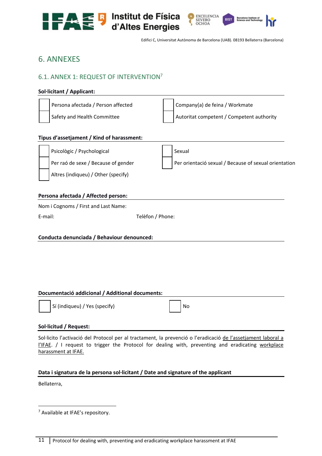



# 6. ANNEXES

# 6.1. ANNEX 1: REQUEST OF INTERVENTION7

#### **Sol∙licitant / Applicant:**

| Persona afectada / Person affected | Company(a) de feina / Workmate            |
|------------------------------------|-------------------------------------------|
| Safety and Health Committee        | Autoritat competent / Competent authority |
|                                    |                                           |

#### **Tipus d'assetjament / Kind of harassment:**

| Psicològic / Psychological          | Sexual                                                |
|-------------------------------------|-------------------------------------------------------|
| Per raó de sexe / Because of gender | Per orientació sexual / Because of sexual orientation |
| Altres (indiqueu) / Other (specify) |                                                       |
| Denes en afrikade / Affrikad eremon |                                                       |

#### **Persona afectada / Affected person:**

Nom i Cognoms / First and Last Name:

E-mail: E-mail: E-mail: E-mail: E-mail: E-mail: E-mail: E-mail: E-mail: E-mail: E-mail: E-mail: E-mail: E-mail: E-mail: E-mail: E-mail: E-mail: E-mail: E-mail: E-mail: E-mail: E-mail: E-mail: E-mail: E-mail: E-mail: E-mail

#### **Conducta denunciada / Behaviour denounced:**

#### **Documentació addicional / Additional documents:**

Sí (indiqueu) / Yes (specify)  $\vert$  / No

#### **Sol∙licitud / Request:**

Sol∙licito l'activació del Protocol per al tractament, la prevenció o l'eradicació de l'assetjament laboral a l'IFAE. / I request to trigger the Protocol for dealing with, preventing and eradicating workplace harassment at IFAE.

#### **Data i signatura de la persona sol∙licitant / Date and signature of the applicant**

Bellaterra,

7 Available at IFAE's repository.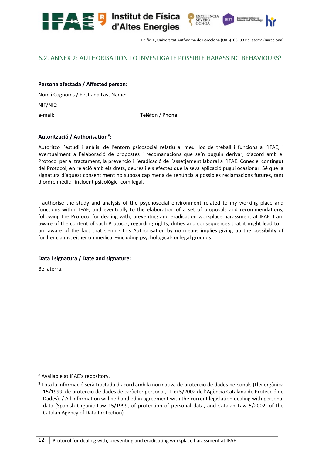**EXCELENCIA** SEVERO OCHOA

# 6.2. ANNEX 2: AUTHORISATION TO INVESTIGATE POSSIBLE HARASSING BEHAVIOURS<sup>8</sup>

**Example 13** Institut de Física<br>d'Altes Energies

#### **Persona afectada / Affected person:**

Nom i Cognoms / First and Last Name:

NIF/NIE:

e-mail: **e-mail:** e-mail: **e-mail:** e-mail: **e-mail: e-mail: e-mail: e-mail: e-mail: e-mail: e-mail: e-mail: e-mail: e-mail: e-mail: e-mail: e-mail: e-mail: e-mail: e-mail: e-mail: e-mail:** 

#### **Autorització / Authorisation9 :**

Autoritzo l'estudi i anàlisi de l'entorn psicosocial relatiu al meu lloc de treball i funcions a l'IFAE, i eventualment a l'elaboració de propostes i recomanacions que se'n puguin derivar, d'acord amb el Protocol per al tractament, la prevenció i l'eradicació de l'assetjament laboral a l'IFAE. Conec el contingut del Protocol, en relació amb els drets, deures i els efectes que la seva aplicació pugui ocasionar. Sé que la signatura d'aquest consentiment no suposa cap mena de renúncia a possibles reclamacions futures, tant d'ordre mèdic –incloent psicològic‐ com legal.

I authorise the study and analysis of the psychosocial environment related to my working place and functions within IFAE, and eventually to the elaboration of a set of proposals and recommendations, following the Protocol for dealing with, preventing and eradication workplace harassment at IFAE. I am aware of the content of such Protocol, regarding rights, duties and consequences that it might lead to. I am aware of the fact that signing this Authorisation by no means implies giving up the possibility of further claims, either on medical –including psychological‐ or legal grounds.

#### **Data i signatura / Date and signature:**

Bellaterra,

 8 Available at IFAE's repository.

**<sup>9</sup>** Tota la informació serà tractada d'acord amb la normativa de protecció de dades personals (Llei orgànica 15/1999, de protecció de dades de caràcter personal, i Llei 5/2002 de l'Agència Catalana de Protecció de Dades). / All information will be handled in agreement with the current legislation dealing with personal data (Spanish Organic Law 15/1999, of protection of personal data, and Catalan Law 5/2002, of the Catalan Agency of Data Protection).